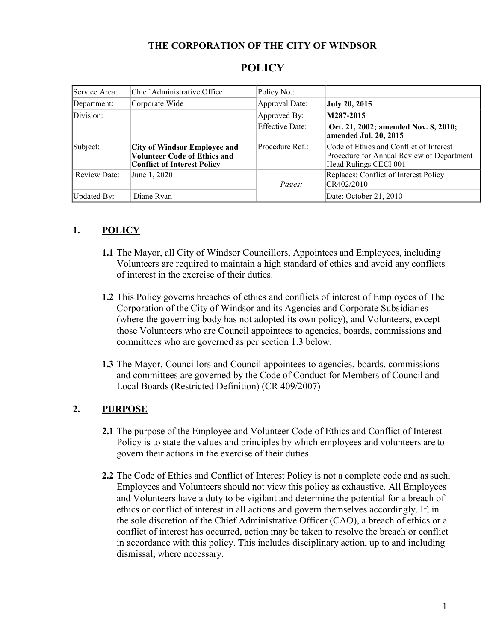#### **THE CORPORATION OF THE CITY OF WINDSOR**

| Service Area:       | Chief Administrative Office                                                                                      | Policy No.:     |                                                                                                               |
|---------------------|------------------------------------------------------------------------------------------------------------------|-----------------|---------------------------------------------------------------------------------------------------------------|
| Department:         | Corporate Wide                                                                                                   | Approval Date:  | <b>July 20, 2015</b>                                                                                          |
| Division:           |                                                                                                                  | Approved By:    | M287-2015                                                                                                     |
|                     |                                                                                                                  | Effective Date: | Oct. 21, 2002; amended Nov. 8, 2010;<br>amended Jul. 20, 2015                                                 |
| Subject:            | <b>City of Windsor Employee and</b><br><b>Volunteer Code of Ethics and</b><br><b>Conflict of Interest Policy</b> | Procedure Ref.: | Code of Ethics and Conflict of Interest<br>Procedure for Annual Review of Department<br>Head Rulings CECI 001 |
| <b>Review Date:</b> | June 1, 2020                                                                                                     | Pages:          | Replaces: Conflict of Interest Policy<br>CR402/2010                                                           |
| Updated By:         | Diane Ryan                                                                                                       |                 | Date: October 21, 2010                                                                                        |

# **POLICY**

### **1. POLICY**

- **1.1** The Mayor, all City of Windsor Councillors, Appointees and Employees, including Volunteers are required to maintain a high standard of ethics and avoid any conflicts of interest in the exercise of their duties.
- **1.2** This Policy governs breaches of ethics and conflicts of interest of Employees of The Corporation of the City of Windsor and its Agencies and Corporate Subsidiaries (where the governing body has not adopted its own policy), and Volunteers, except those Volunteers who are Council appointees to agencies, boards, commissions and committees who are governed as per section 1.3 below.
- **1.3** The Mayor, Councillors and Council appointees to agencies, boards, commissions and committees are governed by the Code of Conduct for Members of Council and Local Boards (Restricted Definition) (CR 409/2007)

### **2. PURPOSE**

- **2.1** The purpose of the Employee and Volunteer Code of Ethics and Conflict of Interest Policy is to state the values and principles by which employees and volunteers are to govern their actions in the exercise of their duties.
- **2.2** The Code of Ethics and Conflict of Interest Policy is not a complete code and assuch, Employees and Volunteers should not view this policy as exhaustive. All Employees and Volunteers have a duty to be vigilant and determine the potential for a breach of ethics or conflict of interest in all actions and govern themselves accordingly. If, in the sole discretion of the Chief Administrative Officer (CAO), a breach of ethics or a conflict of interest has occurred, action may be taken to resolve the breach or conflict in accordance with this policy. This includes disciplinary action, up to and including dismissal, where necessary.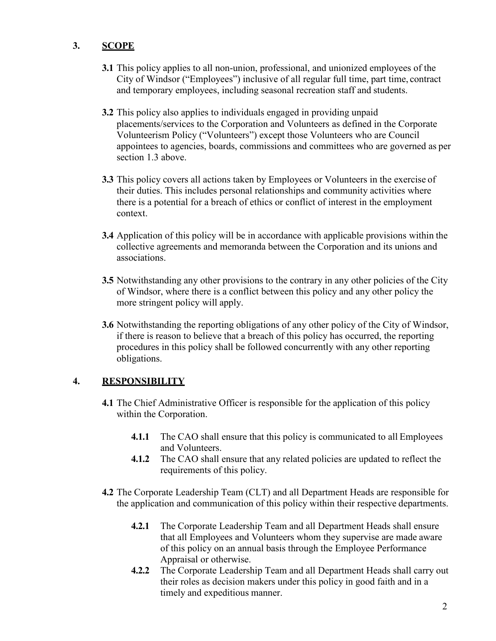# **3. SCOPE**

- **3.1** This policy applies to all non-union, professional, and unionized employees of the City of Windsor ("Employees") inclusive of all regular full time, part time, contract and temporary employees, including seasonal recreation staff and students.
- **3.2** This policy also applies to individuals engaged in providing unpaid placements/services to the Corporation and Volunteers as defined in the Corporate Volunteerism Policy ("Volunteers") except those Volunteers who are Council appointees to agencies, boards, commissions and committees who are governed as per section 1.3 above.
- **3.3** This policy covers all actions taken by Employees or Volunteers in the exercise of their duties. This includes personal relationships and community activities where there is a potential for a breach of ethics or conflict of interest in the employment context.
- **3.4** Application of this policy will be in accordance with applicable provisions within the collective agreements and memoranda between the Corporation and its unions and associations.
- **3.5** Notwithstanding any other provisions to the contrary in any other policies of the City of Windsor, where there is a conflict between this policy and any other policy the more stringent policy will apply.
- **3.6** Notwithstanding the reporting obligations of any other policy of the City of Windsor, if there is reason to believe that a breach of this policy has occurred, the reporting procedures in this policy shall be followed concurrently with any other reporting obligations.

### **4. RESPONSIBILITY**

- **4.1** The Chief Administrative Officer is responsible for the application of this policy within the Corporation.
	- **4.1.1** The CAO shall ensure that this policy is communicated to all Employees and Volunteers.
	- **4.1.2** The CAO shall ensure that any related policies are updated to reflect the requirements of this policy.
- **4.2** The Corporate Leadership Team (CLT) and all Department Heads are responsible for the application and communication of this policy within their respective departments.
	- **4.2.1** The Corporate Leadership Team and all Department Heads shall ensure that all Employees and Volunteers whom they supervise are made aware of this policy on an annual basis through the Employee Performance Appraisal or otherwise.
	- **4.2.2** The Corporate Leadership Team and all Department Heads shall carry out their roles as decision makers under this policy in good faith and in a timely and expeditious manner.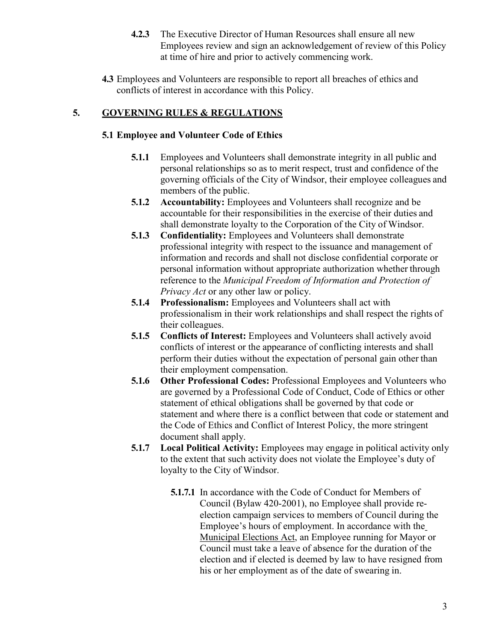- **4.2.3** The Executive Director of Human Resources shall ensure all new Employees review and sign an acknowledgement of review of this Policy at time of hire and prior to actively commencing work.
- **4.3** Employees and Volunteers are responsible to report all breaches of ethics and conflicts of interest in accordance with this Policy.

# **5. GOVERNING RULES & REGULATIONS**

#### **5.1 Employee and Volunteer Code of Ethics**

- **5.1.1** Employees and Volunteers shall demonstrate integrity in all public and personal relationships so as to merit respect, trust and confidence of the governing officials of the City of Windsor, their employee colleagues and members of the public.
- **5.1.2 Accountability:** Employees and Volunteers shall recognize and be accountable for their responsibilities in the exercise of their duties and shall demonstrate loyalty to the Corporation of the City of Windsor.
- **5.1.3 Confidentiality:** Employees and Volunteers shall demonstrate professional integrity with respect to the issuance and management of information and records and shall not disclose confidential corporate or personal information without appropriate authorization whether through reference to the *Municipal Freedom of Information and Protection of Privacy Act* or any other law or policy.
- **5.1.4 Professionalism:** Employees and Volunteers shall act with professionalism in their work relationships and shall respect the rights of their colleagues.
- **5.1.5 Conflicts of Interest:** Employees and Volunteers shall actively avoid conflicts of interest or the appearance of conflicting interests and shall perform their duties without the expectation of personal gain other than their employment compensation.
- **5.1.6 Other Professional Codes:** Professional Employees and Volunteers who are governed by a Professional Code of Conduct, Code of Ethics or other statement of ethical obligations shall be governed by that code or statement and where there is a conflict between that code or statement and the Code of Ethics and Conflict of Interest Policy, the more stringent document shall apply.
- **5.1.7 Local Political Activity:** Employees may engage in political activity only to the extent that such activity does not violate the Employee's duty of loyalty to the City of Windsor.
	- **5.1.7.1** In accordance with the Code of Conduct for Members of Council (Bylaw 420-2001), no Employee shall provide reelection campaign services to members of Council during the Employee's hours of employment. In accordance with the Municipal Elections Act, an Employee running for Mayor or Council must take a leave of absence for the duration of the election and if elected is deemed by law to have resigned from his or her employment as of the date of swearing in.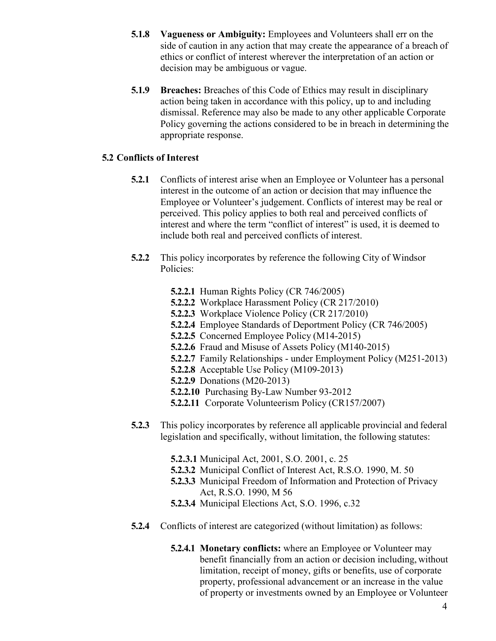- **5.1.8 Vagueness or Ambiguity:** Employees and Volunteers shall err on the side of caution in any action that may create the appearance of a breach of ethics or conflict of interest wherever the interpretation of an action or decision may be ambiguous or vague.
- **5.1.9 Breaches:** Breaches of this Code of Ethics may result in disciplinary action being taken in accordance with this policy, up to and including dismissal. Reference may also be made to any other applicable Corporate Policy governing the actions considered to be in breach in determining the appropriate response.

### **5.2 Conflicts of Interest**

- **5.2.1** Conflicts of interest arise when an Employee or Volunteer has a personal interest in the outcome of an action or decision that may influence the Employee or Volunteer's judgement. Conflicts of interest may be real or perceived. This policy applies to both real and perceived conflicts of interest and where the term "conflict of interest" is used, it is deemed to include both real and perceived conflicts of interest.
- **5.2.2** This policy incorporates by reference the following City of Windsor Policies:
	- **5.2.2.1** Human Rights Policy (CR 746/2005)
	- **5.2.2.2** Workplace Harassment Policy (CR 217/2010)
	- **5.2.2.3** Workplace Violence Policy (CR 217/2010)
	- **5.2.2.4** Employee Standards of Deportment Policy (CR 746/2005)
	- **5.2.2.5** Concerned Employee Policy (M14-2015)
	- **5.2.2.6** Fraud and Misuse of Assets Policy (M140-2015)
	- **5.2.2.7** Family Relationships under Employment Policy (M251-2013)
	- **5.2.2.8** Acceptable Use Policy (M109-2013)
		- **5.2.2.9** Donations (M20-2013)
		- **5.2.2.10** Purchasing By-Law Number 93-2012
		- **5.2.2.11** Corporate Volunteerism Policy (CR157/2007)
- **5.2.3** This policy incorporates by reference all applicable provincial and federal legislation and specifically, without limitation, the following statutes:
	- **5.2.3.1** Municipal Act, 2001, S.O. 2001, c. 25
	- **5.2.3.2** Municipal Conflict of Interest Act, R.S.O. 1990, M. 50
	- **5.2.3.3** Municipal Freedom of Information and Protection of Privacy Act, R.S.O. 1990, M 56
	- **5.2.3.4** Municipal Elections Act, S.O. 1996, c.32
- **5.2.4** Conflicts of interest are categorized (without limitation) as follows:
	- **5.2.4.1 Monetary conflicts:** where an Employee or Volunteer may benefit financially from an action or decision including, without limitation, receipt of money, gifts or benefits, use of corporate property, professional advancement or an increase in the value of property or investments owned by an Employee or Volunteer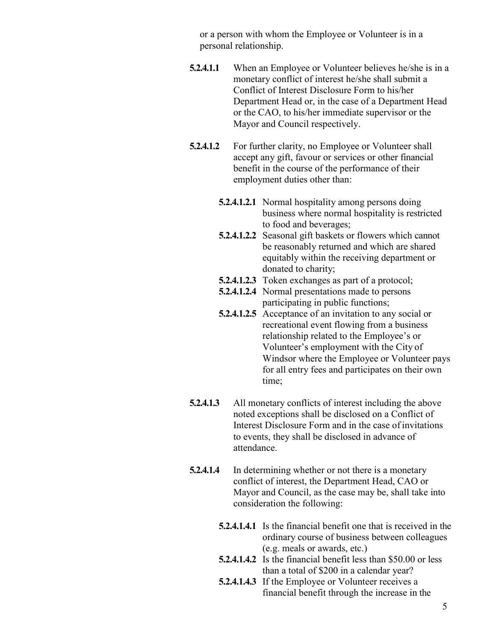or a person with whom the Employee or Volunteer is in a personal relationship.

- **5.2.4.1.1** When an Employee or Volunteer believes he/she is in a monetary conflict of interest he/she shall submit a Conflict of Interest Disclosure Form to his/her Department Head or, in the case of a Department Head or the CAO, to his/her immediate supervisor or the Mayor and Council respectively.
- **5.2.4.1.2** For further clarity, no Employee or Volunteer shall accept any gift, favour or services or other financial benefit in the course of the performance of their employment duties other than:
	- **5.2.4.1.2.1** Normal hospitality among persons doing business where normal hospitality is restricted to food and beverages;
	- **5.2.4.1.2.2** Seasonal gift baskets or flowers which cannot be reasonably returned and which are shared equitably within the receiving department or donated to charity;
	- **5.2.4.1.2.3** Token exchanges as part of a protocol;
	- **5.2.4.1.2.4** Normal presentations made to persons participating in public functions;
	- **5.2.4.1.2.5** Acceptance of an invitation to any social or recreational event flowing from a business relationship related to the Employee's or Volunteer's employment with the City of Windsor where the Employee or Volunteer pays for all entry fees and participates on their own time;
- **5.2.4.1.3** All monetary conflicts of interest including the above noted exceptions shall be disclosed on a Conflict of Interest Disclosure Form and in the case of invitations to events, they shall be disclosed in advance of attendance.
- **5.2.4.1.4** In determining whether or not there is a monetary conflict of interest, the Department Head, CAO or Mayor and Council, as the case may be, shall take into consideration the following:
	- **5.2.4.1.4.1** Is the financial benefit one that is received in the ordinary course of business between colleagues (e.g. meals or awards, etc.)
	- **5.2.4.1.4.2** Is the financial benefit less than \$50.00 or less than a total of \$200 in a calendar year?
	- **5.2.4.1.4.3** If the Employee or Volunteer receives a financial benefit through the increase in the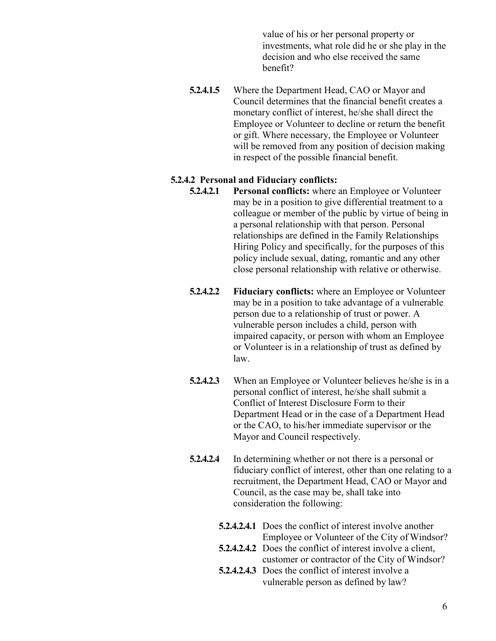value of his or her personal property or investments, what role did he or she play in the decision and who else received the same benefit?

**5.2.4.1.5** Where the Department Head, CAO or Mayor and Council determines that the financial benefit creates a monetary conflict of interest, he/she shall direct the Employee or Volunteer to decline or return the benefit or gift. Where necessary, the Employee or Volunteer will be removed from any position of decision making in respect of the possible financial benefit.

#### **5.2.4.2 Personal and Fiduciary conflicts:**

- **5.2.4.2.1 Personal conflicts:** where an Employee or Volunteer may be in a position to give differential treatment to a colleague or member of the public by virtue of being in a personal relationship with that person. Personal relationships are defined in the Family Relationships Hiring Policy and specifically, for the purposes of this policy include sexual, dating, romantic and any other close personal relationship with relative or otherwise.
- **5.2.4.2.2 Fiduciary conflicts:** where an Employee or Volunteer may be in a position to take advantage of a vulnerable person due to a relationship of trust or power. A vulnerable person includes a child, person with impaired capacity, or person with whom an Employee or Volunteer is in a relationship of trust as defined by law.
- **5.2.4.2.3** When an Employee or Volunteer believes he/she is in a personal conflict of interest, he/she shall submit a Conflict of Interest Disclosure Form to their Department Head or in the case of a Department Head or the CAO, to his/her immediate supervisor or the Mayor and Council respectively.
- **5.2.4.2.4** In determining whether or not there is a personal or fiduciary conflict of interest, other than one relating to a recruitment, the Department Head, CAO or Mayor and Council, as the case may be, shall take into consideration the following:
	- **5.2.4.2.4.1** Does the conflict of interest involve another Employee or Volunteer of the City of Windsor?
	- **5.2.4.2.4.2** Does the conflict of interest involve a client, customer or contractor of the City of Windsor?
	- **5.2.4.2.4.3** Does the conflict of interest involve a vulnerable person as defined by law?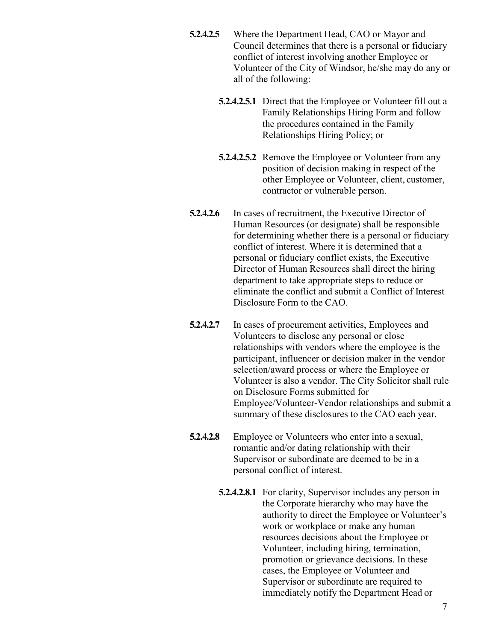- **5.2.4.2.5** Where the Department Head, CAO or Mayor and Council determines that there is a personal or fiduciary conflict of interest involving another Employee or Volunteer of the City of Windsor, he/she may do any or all of the following:
	- **5.2.4.2.5.1** Direct that the Employee or Volunteer fill out a Family Relationships Hiring Form and follow the procedures contained in the Family Relationships Hiring Policy; or
	- **5.2.4.2.5.2** Remove the Employee or Volunteer from any position of decision making in respect of the other Employee or Volunteer, client, customer, contractor or vulnerable person.
- **5.2.4.2.6** In cases of recruitment, the Executive Director of Human Resources (or designate) shall be responsible for determining whether there is a personal or fiduciary conflict of interest. Where it is determined that a personal or fiduciary conflict exists, the Executive Director of Human Resources shall direct the hiring department to take appropriate steps to reduce or eliminate the conflict and submit a Conflict of Interest Disclosure Form to the CAO.
- **5.2.4.2.7** In cases of procurement activities, Employees and Volunteers to disclose any personal or close relationships with vendors where the employee is the participant, influencer or decision maker in the vendor selection/award process or where the Employee or Volunteer is also a vendor. The City Solicitor shall rule on Disclosure Forms submitted for Employee/Volunteer-Vendor relationships and submit a summary of these disclosures to the CAO each year.
- **5.2.4.2.8** Employee or Volunteers who enter into a sexual, romantic and/or dating relationship with their Supervisor or subordinate are deemed to be in a personal conflict of interest.
	- **5.2.4.2.8.1** For clarity, Supervisor includes any person in the Corporate hierarchy who may have the authority to direct the Employee or Volunteer's work or workplace or make any human resources decisions about the Employee or Volunteer, including hiring, termination, promotion or grievance decisions. In these cases, the Employee or Volunteer and Supervisor or subordinate are required to immediately notify the Department Head or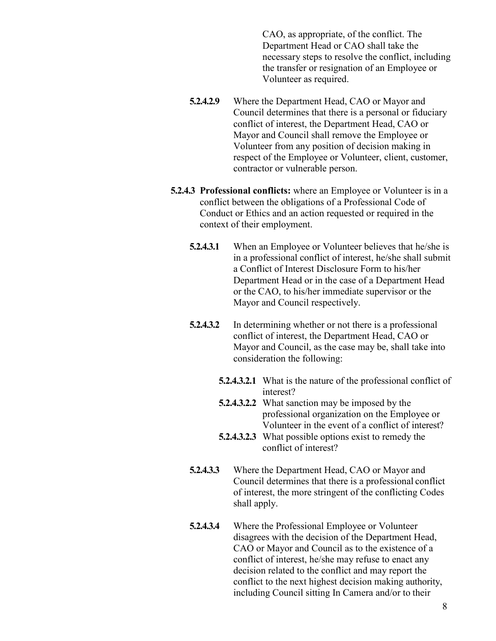CAO, as appropriate, of the conflict. The Department Head or CAO shall take the necessary steps to resolve the conflict, including the transfer or resignation of an Employee or Volunteer as required.

- **5.2.4.2.9** Where the Department Head, CAO or Mayor and Council determines that there is a personal or fiduciary conflict of interest, the Department Head, CAO or Mayor and Council shall remove the Employee or Volunteer from any position of decision making in respect of the Employee or Volunteer, client, customer, contractor or vulnerable person.
- **5.2.4.3 Professional conflicts:** where an Employee or Volunteer is in a conflict between the obligations of a Professional Code of Conduct or Ethics and an action requested or required in the context of their employment.
	- **5.2.4.3.1** When an Employee or Volunteer believes that he/she is in a professional conflict of interest, he/she shall submit a Conflict of Interest Disclosure Form to his/her Department Head or in the case of a Department Head or the CAO, to his/her immediate supervisor or the Mayor and Council respectively.
	- **5.2.4.3.2** In determining whether or not there is a professional conflict of interest, the Department Head, CAO or Mayor and Council, as the case may be, shall take into consideration the following:
		- **5.2.4.3.2.1** What is the nature of the professional conflict of interest?
		- **5.2.4.3.2.2** What sanction may be imposed by the professional organization on the Employee or Volunteer in the event of a conflict of interest?
		- **5.2.4.3.2.3** What possible options exist to remedy the conflict of interest?
	- **5.2.4.3.3** Where the Department Head, CAO or Mayor and Council determines that there is a professional conflict of interest, the more stringent of the conflicting Codes shall apply.
	- **5.2.4.3.4** Where the Professional Employee or Volunteer disagrees with the decision of the Department Head, CAO or Mayor and Council as to the existence of a conflict of interest, he/she may refuse to enact any decision related to the conflict and may report the conflict to the next highest decision making authority, including Council sitting In Camera and/or to their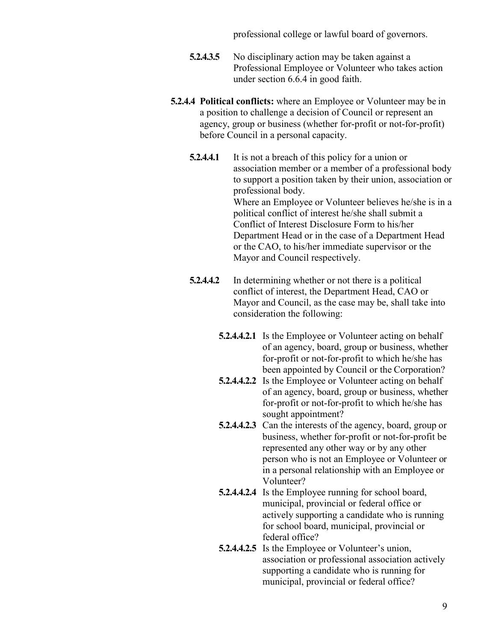professional college or lawful board of governors.

- **5.2.4.3.5** No disciplinary action may be taken against a Professional Employee or Volunteer who takes action under section 6.6.4 in good faith.
- **5.2.4.4 Political conflicts:** where an Employee or Volunteer may be in a position to challenge a decision of Council or represent an agency, group or business (whether for-profit or not-for-profit) before Council in a personal capacity.
	- **5.2.4.4.1** It is not a breach of this policy for a union or association member or a member of a professional body to support a position taken by their union, association or professional body. Where an Employee or Volunteer believes he/she is in a political conflict of interest he/she shall submit a Conflict of Interest Disclosure Form to his/her Department Head or in the case of a Department Head or the CAO, to his/her immediate supervisor or the Mayor and Council respectively.
	- **5.2.4.4.2** In determining whether or not there is a political conflict of interest, the Department Head, CAO or Mayor and Council, as the case may be, shall take into consideration the following:
		- **5.2.4.4.2.1** Is the Employee or Volunteer acting on behalf of an agency, board, group or business, whether for-profit or not-for-profit to which he/she has been appointed by Council or the Corporation?
		- **5.2.4.4.2.2** Is the Employee or Volunteer acting on behalf of an agency, board, group or business, whether for-profit or not-for-profit to which he/she has sought appointment?
		- **5.2.4.4.2.3** Can the interests of the agency, board, group or business, whether for-profit or not-for-profit be represented any other way or by any other person who is not an Employee or Volunteer or in a personal relationship with an Employee or Volunteer?
		- **5.2.4.4.2.4** Is the Employee running for school board, municipal, provincial or federal office or actively supporting a candidate who is running for school board, municipal, provincial or federal office?
		- **5.2.4.4.2.5** Is the Employee or Volunteer's union, association or professional association actively supporting a candidate who is running for municipal, provincial or federal office?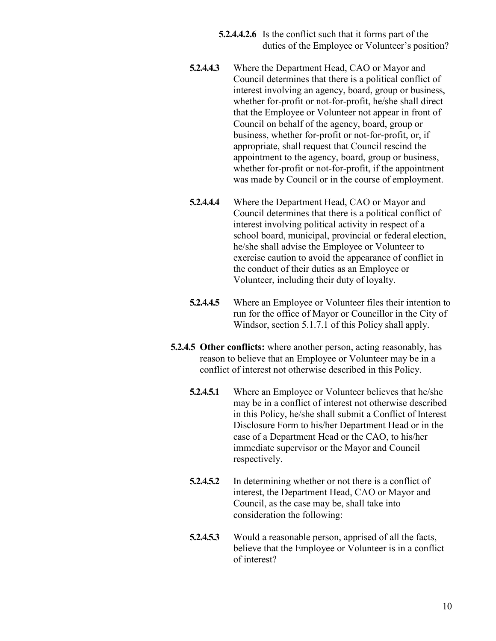**5.2.4.4.2.6** Is the conflict such that it forms part of the duties of the Employee or Volunteer's position?

- **5.2.4.4.3** Where the Department Head, CAO or Mayor and Council determines that there is a political conflict of interest involving an agency, board, group or business, whether for-profit or not-for-profit, he/she shall direct that the Employee or Volunteer not appear in front of Council on behalf of the agency, board, group or business, whether for-profit or not-for-profit, or, if appropriate, shall request that Council rescind the appointment to the agency, board, group or business, whether for-profit or not-for-profit, if the appointment was made by Council or in the course of employment.
- **5.2.4.4.4** Where the Department Head, CAO or Mayor and Council determines that there is a political conflict of interest involving political activity in respect of a school board, municipal, provincial or federal election, he/she shall advise the Employee or Volunteer to exercise caution to avoid the appearance of conflict in the conduct of their duties as an Employee or Volunteer, including their duty of loyalty.
- **5.2.4.4.5** Where an Employee or Volunteer files their intention to run for the office of Mayor or Councillor in the City of Windsor, section 5.1.7.1 of this Policy shall apply.
- **5.2.4.5 Other conflicts:** where another person, acting reasonably, has reason to believe that an Employee or Volunteer may be in a conflict of interest not otherwise described in this Policy.
	- **5.2.4.5.1** Where an Employee or Volunteer believes that he/she may be in a conflict of interest not otherwise described in this Policy, he/she shall submit a Conflict of Interest Disclosure Form to his/her Department Head or in the case of a Department Head or the CAO, to his/her immediate supervisor or the Mayor and Council respectively.
	- **5.2.4.5.2** In determining whether or not there is a conflict of interest, the Department Head, CAO or Mayor and Council, as the case may be, shall take into consideration the following:
	- **5.2.4.5.3** Would a reasonable person, apprised of all the facts, believe that the Employee or Volunteer is in a conflict of interest?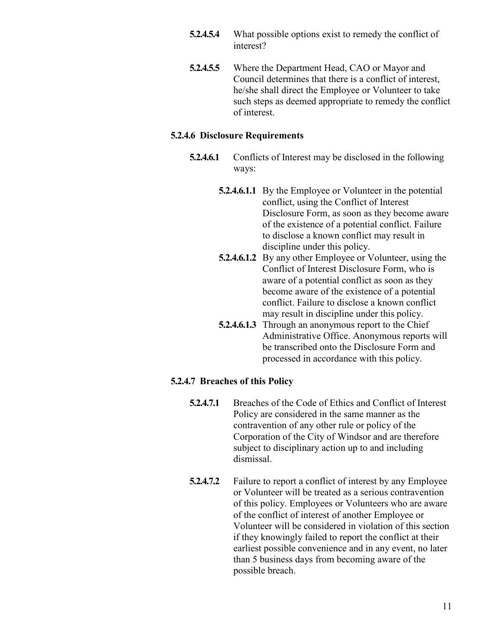- **5.2.4.5.4** What possible options exist to remedy the conflict of interest?
- **5.2.4.5.5** Where the Department Head, CAO or Mayor and Council determines that there is a conflict of interest, he/she shall direct the Employee or Volunteer to take such steps as deemed appropriate to remedy the conflict of interest.

#### **5.2.4.6 Disclosure Requirements**

- **5.2.4.6.1** Conflicts of Interest may be disclosed in the following ways:
	- **5.2.4.6.1.1** By the Employee or Volunteer in the potential conflict, using the Conflict of Interest Disclosure Form, as soon as they become aware of the existence of a potential conflict. Failure to disclose a known conflict may result in discipline under this policy.
	- **5.2.4.6.1.2** By any other Employee or Volunteer, using the Conflict of Interest Disclosure Form, who is aware of a potential conflict as soon as they become aware of the existence of a potential conflict. Failure to disclose a known conflict may result in discipline under this policy.
	- **5.2.4.6.1.3** Through an anonymous report to the Chief Administrative Office. Anonymous reports will be transcribed onto the Disclosure Form and processed in accordance with this policy.

### **5.2.4.7 Breaches of this Policy**

- **5.2.4.7.1** Breaches of the Code of Ethics and Conflict of Interest Policy are considered in the same manner as the contravention of any other rule or policy of the Corporation of the City of Windsor and are therefore subject to disciplinary action up to and including dismissal.
- **5.2.4.7.2** Failure to report a conflict of interest by any Employee or Volunteer will be treated as a serious contravention of this policy. Employees or Volunteers who are aware of the conflict of interest of another Employee or Volunteer will be considered in violation of this section if they knowingly failed to report the conflict at their earliest possible convenience and in any event, no later than 5 business days from becoming aware of the possible breach.